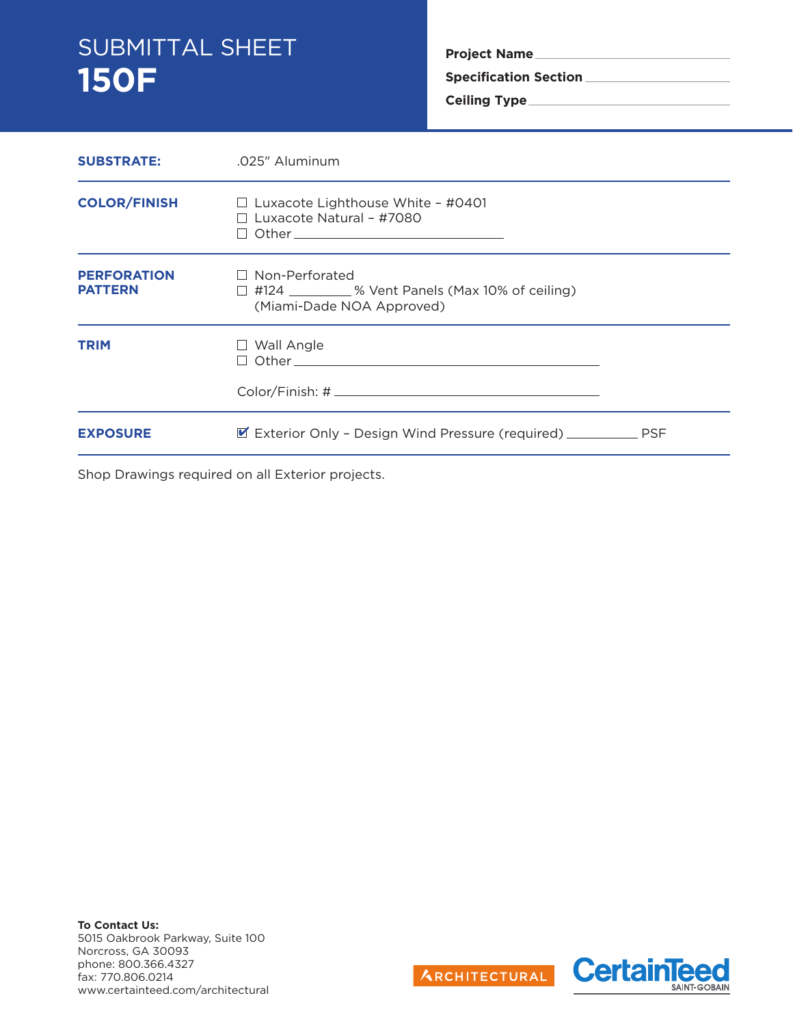# SUBMITTAL SHEET **150F**

**Project Name**

**Specification Section**

**Ceiling Type**

| <b>SUBSTRATE:</b>                    | .025" Aluminum                                                                                                 |  |
|--------------------------------------|----------------------------------------------------------------------------------------------------------------|--|
| <b>COLOR/FINISH</b>                  | $\Box$ Luxacote Lighthouse White - #0401<br>$\Box$ Luxacote Natural - #7080<br>□ Other__________________       |  |
| <b>PERFORATION</b><br><b>PATTERN</b> | $\Box$ Non-Perforated<br>$\Box$ #124 _________ % Vent Panels (Max 10% of ceiling)<br>(Miami-Dade NOA Approved) |  |
| <b>TRIM</b>                          | $\Box$ Wall Angle                                                                                              |  |
| <b>EXPOSURE</b>                      | ■ Exterior Only - Design Wind Pressure (required) ______________ PSF                                           |  |

Shop Drawings required on all Exterior projects.